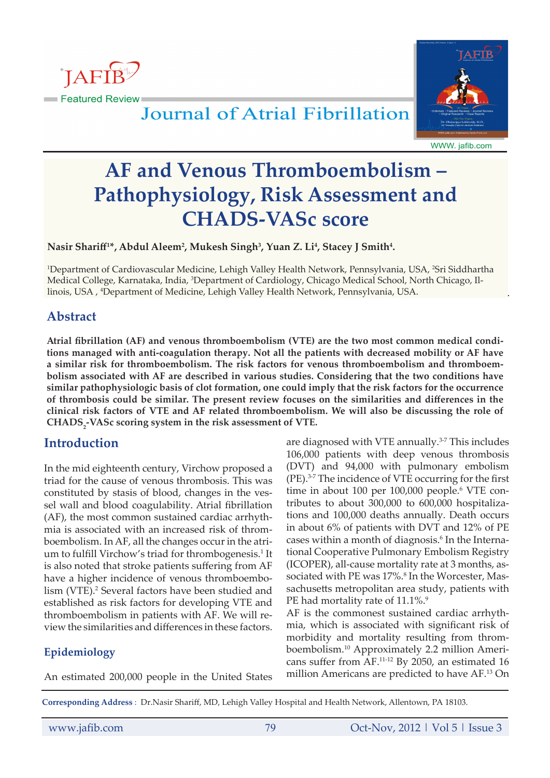



# **Journal of Atrial Fibrillation**

WWW. jafib.com

# **AF and Venous Thromboembolism – Pathophysiology, Risk Assessment and CHADS-VASc score**

Nasir Shariff<sup>1\*</sup>, Abdul Aleem<sup>2</sup>, Mukesh Singh<sup>3</sup>, Yuan Z. Li<sup>4</sup>, Stacey J Smith<sup>4</sup>.

<sup>1</sup>Department of Cardiovascular Medicine, Lehigh Valley Health Network, Pennsylvania, USA, <sup>2</sup>Sri Siddhartha Medical College, Karnataka, India, 3 Department of Cardiology, Chicago Medical School, North Chicago, Illinois, USA , 4 Department of Medicine, Lehigh Valley Health Network, Pennsylvania, USA.

## **Abstract**

**Atrial fibrillation (AF) and venous thromboembolism (VTE) are the two most common medical conditions managed with anti-coagulation therapy. Not all the patients with decreased mobility or AF have a similar risk for thromboembolism. The risk factors for venous thromboembolism and thromboembolism associated with AF are described in various studies. Considering that the two conditions have similar pathophysiologic basis of clot formation, one could imply that the risk factors for the occurrence of thrombosis could be similar. The present review focuses on the similarities and differences in the clinical risk factors of VTE and AF related thromboembolism. We will also be discussing the role of**  CHADS<sub>2</sub>-VASc scoring system in the risk assessment of VTE.

## **Introduction**

In the mid eighteenth century, Virchow proposed a triad for the cause of venous thrombosis. This was constituted by stasis of blood, changes in the vessel wall and blood coagulability. Atrial fibrillation (AF), the most common sustained cardiac arrhythmia is associated with an increased risk of thromboembolism. In AF, all the changes occur in the atrium to fulfill Virchow's triad for thrombogenesis.<sup>1</sup> It is also noted that stroke patients suffering from AF have a higher incidence of venous thromboembolism (VTE).<sup>2</sup> Several factors have been studied and established as risk factors for developing VTE and thromboembolism in patients with AF. We will review the similarities and differences in these factors.

## **Epidemiology**

An estimated 200,000 people in the United States

are diagnosed with VTE annually.<sup>3-7</sup> This includes 106,000 patients with deep venous thrombosis (DVT) and 94,000 with pulmonary embolism (PE).3-7 The incidence of VTE occurring for the first time in about 100 per 100,000 people.<sup>6</sup> VTE contributes to about 300,000 to 600,000 hospitalizations and 100,000 deaths annually. Death occurs in about 6% of patients with DVT and 12% of PE cases within a month of diagnosis.<sup>6</sup> In the International Cooperative Pulmonary Embolism Registry (ICOPER), all-cause mortality rate at 3 months, associated with PE was 17%.<sup>8</sup> In the Worcester, Massachusetts metropolitan area study, patients with PE had mortality rate of 11.1%.<sup>9</sup>

AF is the commonest sustained cardiac arrhythmia, which is associated with significant risk of morbidity and mortality resulting from thromboembolism.10 Approximately 2.2 million Americans suffer from AF.11-12 By 2050, an estimated 16 million Americans are predicted to have AF.13 On

**Corresponding Address** : Dr.Nasir Shariff, MD, Lehigh Valley Hospital and Health Network, Allentown, PA 18103.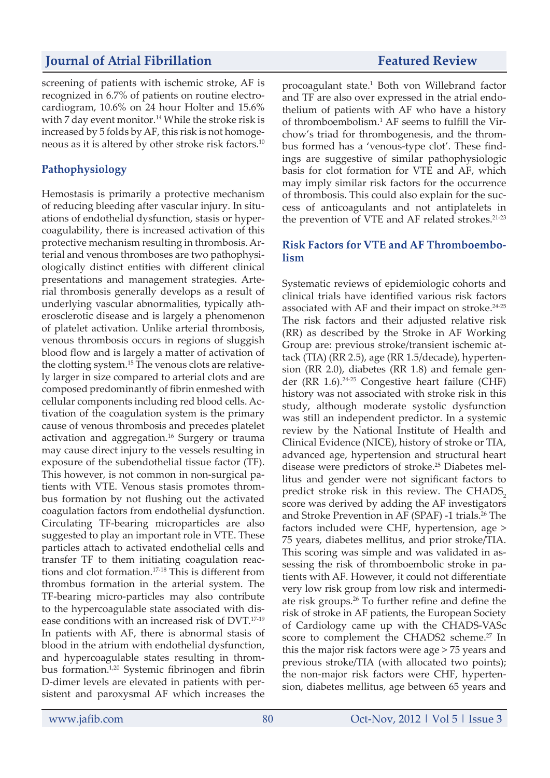screening of patients with ischemic stroke, AF is recognized in 6.7% of patients on routine electrocardiogram, 10.6% on 24 hour Holter and 15.6% with 7 day event monitor.<sup>14</sup> While the stroke risk is increased by 5 folds by AF, this risk is not homogeneous as it is altered by other stroke risk factors.10

### **Pathophysiology**

Hemostasis is primarily a protective mechanism of reducing bleeding after vascular injury. In situations of endothelial dysfunction, stasis or hypercoagulability, there is increased activation of this protective mechanism resulting in thrombosis. Arterial and venous thromboses are two pathophysiologically distinct entities with different clinical presentations and management strategies. Arterial thrombosis generally develops as a result of underlying vascular abnormalities, typically atherosclerotic disease and is largely a phenomenon of platelet activation. Unlike arterial thrombosis, venous thrombosis occurs in regions of sluggish blood flow and is largely a matter of activation of the clotting system.<sup>15</sup> The venous clots are relatively larger in size compared to arterial clots and are composed predominantly of fibrin enmeshed with cellular components including red blood cells. Activation of the coagulation system is the primary cause of venous thrombosis and precedes platelet activation and aggregation.16 Surgery or trauma may cause direct injury to the vessels resulting in exposure of the subendothelial tissue factor (TF). This however, is not common in non-surgical patients with VTE. Venous stasis promotes thrombus formation by not flushing out the activated coagulation factors from endothelial dysfunction. Circulating TF-bearing microparticles are also suggested to play an important role in VTE. These particles attach to activated endothelial cells and transfer TF to them initiating coagulation reactions and clot formation.17-18 This is different from thrombus formation in the arterial system. The TF-bearing micro-particles may also contribute to the hypercoagulable state associated with disease conditions with an increased risk of DVT.17-19 In patients with AF, there is abnormal stasis of blood in the atrium with endothelial dysfunction, and hypercoagulable states resulting in thrombus formation.1,20 Systemic fibrinogen and fibrin D-dimer levels are elevated in patients with persistent and paroxysmal AF which increases the

procoagulant state.<sup>1</sup> Both von Willebrand factor and TF are also over expressed in the atrial endothelium of patients with AF who have a history of thromboembolism.1 AF seems to fulfill the Virchow's triad for thrombogenesis, and the thrombus formed has a 'venous-type clot'. These findings are suggestive of similar pathophysiologic basis for clot formation for VTE and AF, which may imply similar risk factors for the occurrence of thrombosis. This could also explain for the success of anticoagulants and not antiplatelets in the prevention of VTE and AF related strokes.<sup>21-23</sup>

### **Risk Factors for VTE and AF Thromboembolism**

Systematic reviews of epidemiologic cohorts and clinical trials have identified various risk factors associated with AF and their impact on stroke.<sup>24-25</sup> The risk factors and their adjusted relative risk (RR) as described by the Stroke in AF Working Group are: previous stroke/transient ischemic attack (TIA) (RR 2.5), age (RR 1.5/decade), hypertension (RR 2.0), diabetes (RR 1.8) and female gender (RR 1.6).24-25 Congestive heart failure (CHF) history was not associated with stroke risk in this study, although moderate systolic dysfunction was still an independent predictor. In a systemic review by the National Institute of Health and Clinical Evidence (NICE), history of stroke or TIA, advanced age, hypertension and structural heart disease were predictors of stroke.25 Diabetes mellitus and gender were not significant factors to predict stroke risk in this review. The CHADS<sub>2</sub> score was derived by adding the AF investigators and Stroke Prevention in AF (SPAF) -1 trials.<sup>26</sup> The factors included were CHF, hypertension, age > 75 years, diabetes mellitus, and prior stroke/TIA. This scoring was simple and was validated in assessing the risk of thromboembolic stroke in patients with AF. However, it could not differentiate very low risk group from low risk and intermediate risk groups.<sup>26</sup> To further refine and define the risk of stroke in AF patients, the European Society of Cardiology came up with the CHADS-VASc score to complement the CHADS2 scheme.<sup>27</sup> In this the major risk factors were age > 75 years and previous stroke/TIA (with allocated two points); the non-major risk factors were CHF, hypertension, diabetes mellitus, age between 65 years and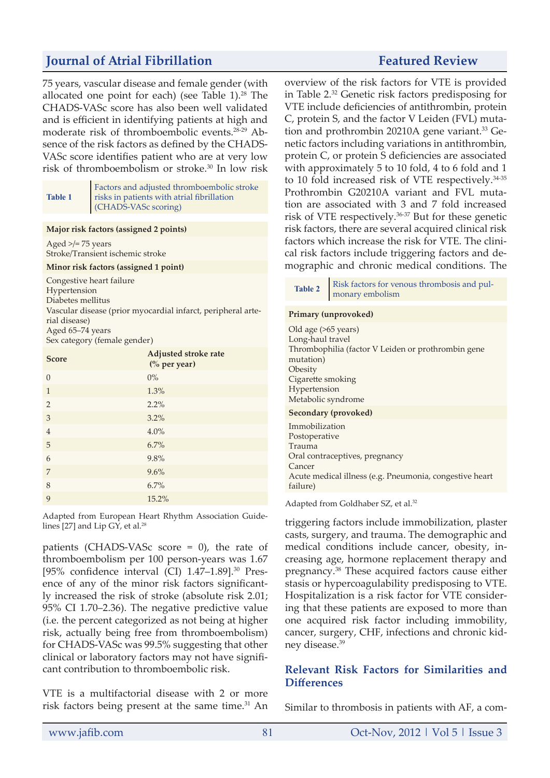75 years, vascular disease and female gender (with allocated one point for each) (see Table  $1$ ).<sup>28</sup> The CHADS-VASc score has also been well validated and is efficient in identifying patients at high and moderate risk of thromboembolic events.28-29 Absence of the risk factors as defined by the CHADS-VASc score identifies patient who are at very low risk of thromboembolism or stroke.30 In low risk

| <b>Table 1</b> | $\label{eq:3} \begin{array}{ll} \textsc{Factors and adjusted from} \textit{bombolic stroke} \\ \textsc{risks in patients with a trial fibrillation} \end{array}$<br>(CHADS-VASc scoring) |
|----------------|------------------------------------------------------------------------------------------------------------------------------------------------------------------------------------------|
|                |                                                                                                                                                                                          |

#### **Major risk factors (assigned 2 points)**

Aged  $\ge$ /= 75 years Stroke/Transient ischemic stroke

#### **Minor risk factors (assigned 1 point)**

Congestive heart failure

Hypertension Diabetes mellitus Vascular disease (prior myocardial infarct, peripheral arterial disease) Aged 65–74 years

Sex category (female gender)

| <b>Score</b>   | <b>Adjusted stroke rate</b><br>(% per year) |
|----------------|---------------------------------------------|
| $\theta$       | $0\%$                                       |
| $\mathbf{1}$   | 1.3%                                        |
| $\overline{2}$ | 2.2%                                        |
| 3              | 3.2%                                        |
| $\overline{4}$ | 4.0%                                        |
| 5              | 6.7%                                        |
| 6              | 9.8%                                        |
| 7              | 9.6%                                        |
| 8              | 6.7%                                        |
| 9              | 15.2%                                       |

Adapted from European Heart Rhythm Association Guidelines [27] and Lip GY, et al. $28$ 

patients (CHADS-VASc score = 0), the rate of thromboembolism per 100 person-years was 1.67 [95% confidence interval (CI) 1.47-1.89].<sup>30</sup> Presence of any of the minor risk factors significantly increased the risk of stroke (absolute risk 2.01; 95% CI 1.70–2.36). The negative predictive value (i.e. the percent categorized as not being at higher risk, actually being free from thromboembolism) for CHADS-VASc was 99.5% suggesting that other clinical or laboratory factors may not have significant contribution to thromboembolic risk.

VTE is a multifactorial disease with 2 or more risk factors being present at the same time.<sup>31</sup> An

overview of the risk factors for VTE is provided in Table 2.32 Genetic risk factors predisposing for VTE include deficiencies of antithrombin, protein C, protein S, and the factor V Leiden (FVL) mutation and prothrombin 20210A gene variant.<sup>33</sup> Genetic factors including variations in antithrombin, protein C, or protein S deficiencies are associated with approximately 5 to 10 fold, 4 to 6 fold and 1 to 10 fold increased risk of VTE respectively.<sup>34-35</sup> Prothrombin G20210A variant and FVL mutation are associated with 3 and 7 fold increased risk of VTE respectively.36-37 But for these genetic risk factors, there are several acquired clinical risk factors which increase the risk for VTE. The clinical risk factors include triggering factors and demographic and chronic medical conditions. The

#### **Primary (unprovoked)**

Old age (>65 years) Long-haul travel Thrombophilia (factor V Leiden or prothrombin gene mutation) Obesity Cigarette smoking Hypertension Metabolic syndrome **Secondary (provoked)** Immobilization Postoperative Trauma Oral contraceptives, pregnancy Cancer Acute medical illness (e.g. Pneumonia, congestive heart failure)

Adapted from Goldhaber SZ, et al.<sup>32</sup>

triggering factors include immobilization, plaster casts, surgery, and trauma. The demographic and medical conditions include cancer, obesity, increasing age, hormone replacement therapy and pregnancy.38 These acquired factors cause either stasis or hypercoagulability predisposing to VTE. Hospitalization is a risk factor for VTE considering that these patients are exposed to more than one acquired risk factor including immobility, cancer, surgery, CHF, infections and chronic kidney disease.<sup>39</sup>

### **Relevant Risk Factors for Similarities and Differences**

Similar to thrombosis in patients with AF, a com-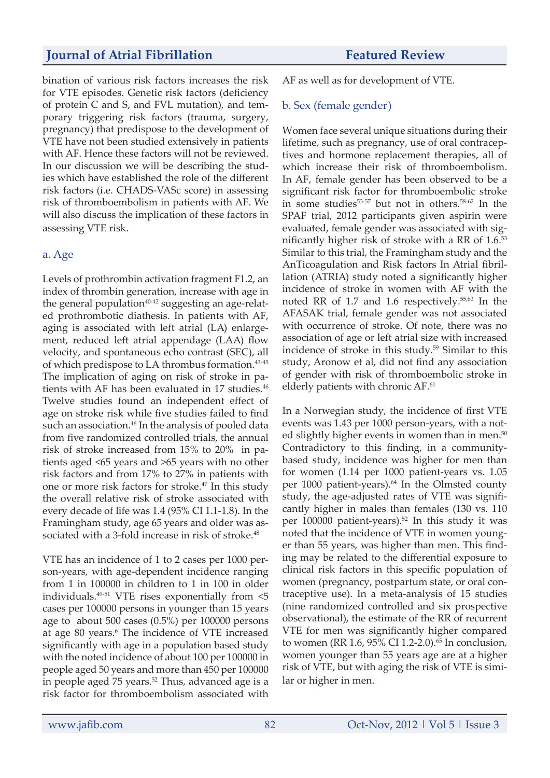bination of various risk factors increases the risk for VTE episodes. Genetic risk factors (deficiency of protein C and S, and FVL mutation), and temporary triggering risk factors (trauma, surgery, pregnancy) that predispose to the development of VTE have not been studied extensively in patients with AF. Hence these factors will not be reviewed. In our discussion we will be describing the studies which have established the role of the different risk factors (i.e. CHADS-VASc score) in assessing risk of thromboembolism in patients with AF. We will also discuss the implication of these factors in assessing VTE risk.

### a. Age

Levels of prothrombin activation fragment F1.2, an index of thrombin generation, increase with age in the general population $40-42$  suggesting an age-related prothrombotic diathesis. In patients with AF, aging is associated with left atrial (LA) enlargement, reduced left atrial appendage (LAA) flow velocity, and spontaneous echo contrast (SEC), all of which predispose to LA thrombus formation.<sup>43-45</sup> The implication of aging on risk of stroke in patients with AF has been evaluated in 17 studies.<sup>46</sup> Twelve studies found an independent effect of age on stroke risk while five studies failed to find such an association.<sup>46</sup> In the analysis of pooled data from five randomized controlled trials, the annual risk of stroke increased from 15% to 20% in patients aged <65 years and >65 years with no other risk factors and from 17% to 27% in patients with one or more risk factors for stroke.47 In this study the overall relative risk of stroke associated with every decade of life was 1.4 (95% CI 1.1-1.8). In the Framingham study, age 65 years and older was associated with a 3-fold increase in risk of stroke.<sup>48</sup>

VTE has an incidence of 1 to 2 cases per 1000 person-years, with age-dependent incidence ranging from 1 in 100000 in children to 1 in 100 in older individuals. $49-51$  VTE rises exponentially from  $\leq 5$ cases per 100000 persons in younger than 15 years age to about 500 cases (0.5%) per 100000 persons at age 80 years.<sup>6</sup> The incidence of VTE increased significantly with age in a population based study with the noted incidence of about 100 per 100000 in people aged 50 years and more than 450 per 100000 in people aged  $75$  years.<sup>52</sup> Thus, advanced age is a risk factor for thromboembolism associated with

AF as well as for development of VTE.

### b. Sex (female gender)

Women face several unique situations during their lifetime, such as pregnancy, use of oral contraceptives and hormone replacement therapies, all of which increase their risk of thromboembolism. In AF, female gender has been observed to be a significant risk factor for thromboembolic stroke in some studies $53-57$  but not in others. $58-62$  In the SPAF trial, 2012 participants given aspirin were evaluated, female gender was associated with significantly higher risk of stroke with a RR of 1.6.<sup>53</sup> Similar to this trial, the Framingham study and the AnTicoagulation and Risk factors In Atrial fibrillation (ATRIA) study noted a significantly higher incidence of stroke in women with AF with the noted RR of 1.7 and 1.6 respectively.55,63 In the AFASAK trial, female gender was not associated with occurrence of stroke. Of note, there was no association of age or left atrial size with increased incidence of stroke in this study.<sup>59</sup> Similar to this study, Aronow et al, did not find any association of gender with risk of thromboembolic stroke in elderly patients with chronic AF.<sup>61</sup>

In a Norwegian study, the incidence of first VTE events was 1.43 per 1000 person-years, with a noted slightly higher events in women than in men. $50$ Contradictory to this finding, in a communitybased study, incidence was higher for men than for women (1.14 per 1000 patient-years vs. 1.05 per 1000 patient-years).<sup>64</sup> In the Olmsted county study, the age-adjusted rates of VTE was significantly higher in males than females (130 vs. 110 per 100000 patient-years).52 In this study it was noted that the incidence of VTE in women younger than 55 years, was higher than men. This finding may be related to the differential exposure to clinical risk factors in this specific population of women (pregnancy, postpartum state, or oral contraceptive use). In a meta-analysis of 15 studies (nine randomized controlled and six prospective observational), the estimate of the RR of recurrent VTE for men was significantly higher compared to women (RR 1.6, 95% CI 1.2-2.0).<sup>65</sup> In conclusion, women younger than 55 years age are at a higher risk of VTE, but with aging the risk of VTE is similar or higher in men.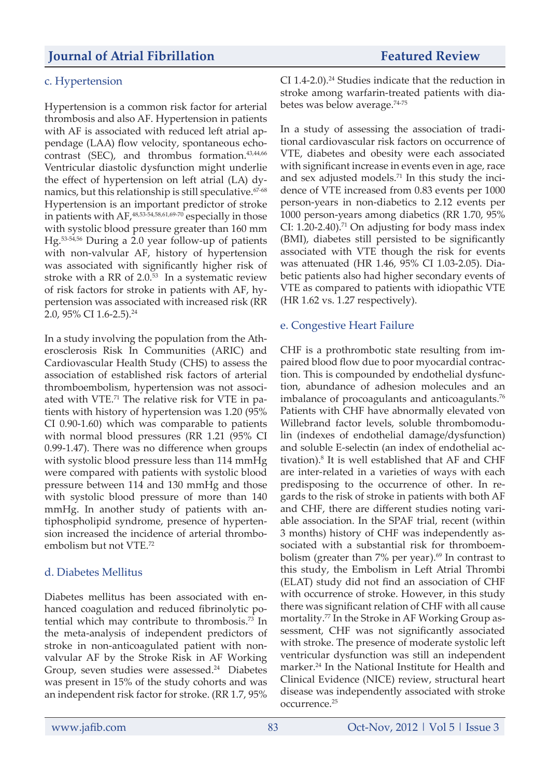#### c. Hypertension

Hypertension is a common risk factor for arterial thrombosis and also AF. Hypertension in patients with AF is associated with reduced left atrial appendage (LAA) flow velocity, spontaneous echocontrast (SEC), and thrombus formation.<sup>43,44,66</sup> Ventricular diastolic dysfunction might underlie the effect of hypertension on left atrial (LA) dynamics, but this relationship is still speculative.<sup>67-68</sup> Hypertension is an important predictor of stroke in patients with  $AF<sub>1</sub><sup>48,53-54,58,61,69-70</sup>$  especially in those with systolic blood pressure greater than 160 mm Hg.53-54,56 During a 2.0 year follow-up of patients with non-valvular AF, history of hypertension was associated with significantly higher risk of stroke with a RR of 2.0.53 In a systematic review of risk factors for stroke in patients with AF, hypertension was associated with increased risk (RR 2.0, 95% CI 1.6-2.5).<sup>24</sup>

In a study involving the population from the Atherosclerosis Risk In Communities (ARIC) and Cardiovascular Health Study (CHS) to assess the association of established risk factors of arterial thromboembolism, hypertension was not associated with VTE.71 The relative risk for VTE in patients with history of hypertension was 1.20 (95% CI 0.90-1.60) which was comparable to patients with normal blood pressures (RR 1.21 (95% CI 0.99-1.47). There was no difference when groups with systolic blood pressure less than 114 mmHg were compared with patients with systolic blood pressure between 114 and 130 mmHg and those with systolic blood pressure of more than 140 mmHg. In another study of patients with antiphospholipid syndrome, presence of hypertension increased the incidence of arterial thromboembolism but not VTE.72

#### d. Diabetes Mellitus

Diabetes mellitus has been associated with enhanced coagulation and reduced fibrinolytic potential which may contribute to thrombosis.73 In the meta-analysis of independent predictors of stroke in non-anticoagulated patient with nonvalvular AF by the Stroke Risk in AF Working Group, seven studies were assessed.<sup>24</sup> Diabetes was present in 15% of the study cohorts and was an independent risk factor for stroke. (RR 1.7, 95% CI 1.4-2.0).<sup>24</sup> Studies indicate that the reduction in stroke among warfarin-treated patients with diabetes was below average.<sup>74-75</sup>

In a study of assessing the association of traditional cardiovascular risk factors on occurrence of VTE, diabetes and obesity were each associated with significant increase in events even in age, race and sex adjusted models.71 In this study the incidence of VTE increased from 0.83 events per 1000 person-years in non-diabetics to 2.12 events per 1000 person-years among diabetics (RR 1.70, 95% CI: 1.20-2.40).<sup>71</sup> On adjusting for body mass index (BMI), diabetes still persisted to be significantly associated with VTE though the risk for events was attenuated (HR 1.46, 95% CI 1.03-2.05). Diabetic patients also had higher secondary events of VTE as compared to patients with idiopathic VTE (HR 1.62 vs. 1.27 respectively).

#### e. Congestive Heart Failure

CHF is a prothrombotic state resulting from impaired blood flow due to poor myocardial contraction. This is compounded by endothelial dysfunction, abundance of adhesion molecules and an imbalance of procoagulants and anticoagulants.<sup>76</sup> Patients with CHF have abnormally elevated von Willebrand factor levels, soluble thrombomodulin (indexes of endothelial damage/dysfunction) and soluble E-selectin (an index of endothelial activation). $8$  It is well established that AF and CHF are inter-related in a varieties of ways with each predisposing to the occurrence of other. In regards to the risk of stroke in patients with both AF and CHF, there are different studies noting variable association. In the SPAF trial, recent (within 3 months) history of CHF was independently associated with a substantial risk for thromboembolism (greater than  $7\%$  per year). $69$  In contrast to this study, the Embolism in Left Atrial Thrombi (ELAT) study did not find an association of CHF with occurrence of stroke. However, in this study there was significant relation of CHF with all cause mortality.<sup>77</sup> In the Stroke in AF Working Group assessment, CHF was not significantly associated with stroke. The presence of moderate systolic left ventricular dysfunction was still an independent marker.24 In the National Institute for Health and Clinical Evidence (NICE) review, structural heart disease was independently associated with stroke occurrence.25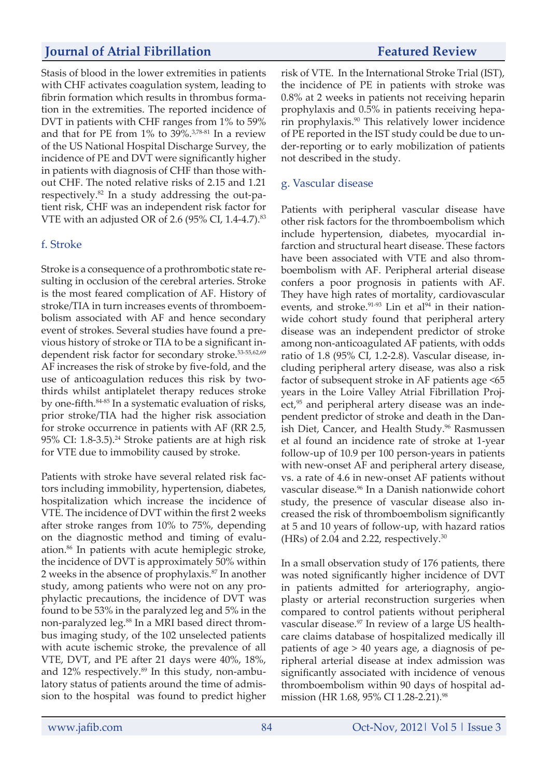Stasis of blood in the lower extremities in patients with CHF activates coagulation system, leading to fibrin formation which results in thrombus formation in the extremities. The reported incidence of DVT in patients with CHF ranges from 1% to 59% and that for PE from 1% to 39%.3,78-81 In a review of the US National Hospital Discharge Survey, the incidence of PE and DVT were significantly higher in patients with diagnosis of CHF than those without CHF. The noted relative risks of 2.15 and 1.21 respectively.82 In a study addressing the out-patient risk, CHF was an independent risk factor for VTE with an adjusted OR of 2.6 (95% CI, 1.4-4.7).<sup>83</sup>

## f. Stroke

Stroke is a consequence of a prothrombotic state resulting in occlusion of the cerebral arteries. Stroke is the most feared complication of AF. History of stroke/TIA in turn increases events of thromboembolism associated with AF and hence secondary event of strokes. Several studies have found a previous history of stroke or TIA to be a significant independent risk factor for secondary stroke.<sup>53-55,62,69</sup> AF increases the risk of stroke by five-fold, and the use of anticoagulation reduces this risk by twothirds whilst antiplatelet therapy reduces stroke by one-fifth.84-85 In a systematic evaluation of risks, prior stroke/TIA had the higher risk association for stroke occurrence in patients with AF (RR 2.5, 95% CI: 1.8-3.5).<sup>24</sup> Stroke patients are at high risk for VTE due to immobility caused by stroke.

Patients with stroke have several related risk factors including immobility, hypertension, diabetes, hospitalization which increase the incidence of VTE. The incidence of DVT within the first 2 weeks after stroke ranges from 10% to 75%, depending on the diagnostic method and timing of evaluation.<sup>86</sup> In patients with acute hemiplegic stroke, the incidence of DVT is approximately 50% within 2 weeks in the absence of prophylaxis.<sup>87</sup> In another study, among patients who were not on any prophylactic precautions, the incidence of DVT was found to be 53% in the paralyzed leg and 5% in the non-paralyzed leg.<sup>88</sup> In a MRI based direct thrombus imaging study, of the 102 unselected patients with acute ischemic stroke, the prevalence of all VTE, DVT, and PE after 21 days were 40%, 18%, and 12% respectively.<sup>89</sup> In this study, non-ambulatory status of patients around the time of admission to the hospital was found to predict higher

risk of VTE. In the International Stroke Trial (IST), the incidence of PE in patients with stroke was 0.8% at 2 weeks in patients not receiving heparin prophylaxis and 0.5% in patients receiving heparin prophylaxis.90 This relatively lower incidence of PE reported in the IST study could be due to under-reporting or to early mobilization of patients not described in the study.

## g. Vascular disease

Patients with peripheral vascular disease have other risk factors for the thromboembolism which include hypertension, diabetes, myocardial infarction and structural heart disease. These factors have been associated with VTE and also thromboembolism with AF. Peripheral arterial disease confers a poor prognosis in patients with AF. They have high rates of mortality, cardiovascular events, and stroke. $91-93$  Lin et al $94$  in their nationwide cohort study found that peripheral artery disease was an independent predictor of stroke among non-anticoagulated AF patients, with odds ratio of 1.8 (95% CI, 1.2-2.8). Vascular disease, including peripheral artery disease, was also a risk factor of subsequent stroke in AF patients age <65 years in the Loire Valley Atrial Fibrillation Project,<sup>95</sup> and peripheral artery disease was an independent predictor of stroke and death in the Danish Diet, Cancer, and Health Study.<sup>96</sup> Rasmussen et al found an incidence rate of stroke at 1-year follow-up of 10.9 per 100 person-years in patients with new-onset AF and peripheral artery disease, vs. a rate of 4.6 in new-onset AF patients without vascular disease.96 In a Danish nationwide cohort study, the presence of vascular disease also increased the risk of thromboembolism significantly at 5 and 10 years of follow-up, with hazard ratios (HRs) of 2.04 and 2.22, respectively. $30$ 

In a small observation study of 176 patients, there was noted significantly higher incidence of DVT in patients admitted for arteriography, angioplasty or arterial reconstruction surgeries when compared to control patients without peripheral vascular disease.<sup>97</sup> In review of a large US healthcare claims database of hospitalized medically ill patients of age > 40 years age, a diagnosis of peripheral arterial disease at index admission was significantly associated with incidence of venous thromboembolism within 90 days of hospital admission (HR 1.68, 95% CI 1.28-2.21).<sup>98</sup>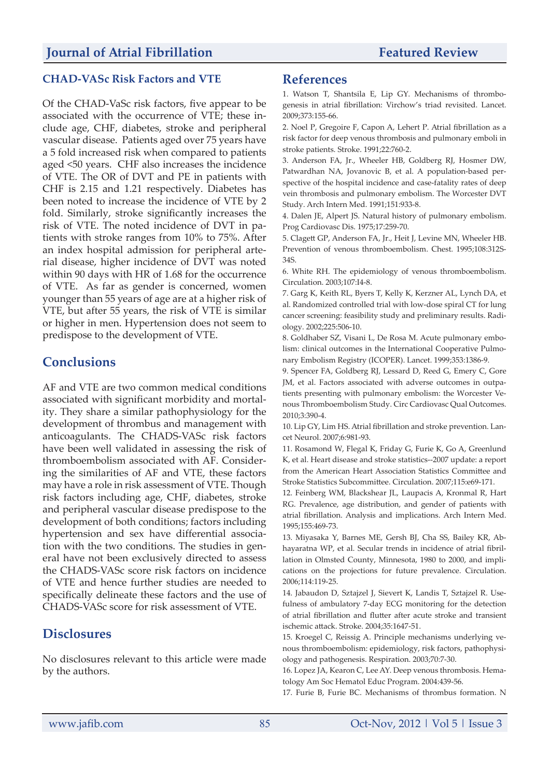## **CHAD-VASc Risk Factors and VTE**

Of the CHAD-VaSc risk factors, five appear to be associated with the occurrence of VTE; these include age, CHF, diabetes, stroke and peripheral vascular disease. Patients aged over 75 years have a 5 fold increased risk when compared to patients aged <50 years. CHF also increases the incidence of VTE. The OR of DVT and PE in patients with CHF is 2.15 and 1.21 respectively. Diabetes has been noted to increase the incidence of VTE by 2 fold. Similarly, stroke significantly increases the risk of VTE. The noted incidence of DVT in patients with stroke ranges from 10% to 75%. After an index hospital admission for peripheral arterial disease, higher incidence of DVT was noted within 90 days with HR of 1.68 for the occurrence of VTE. As far as gender is concerned, women younger than 55 years of age are at a higher risk of VTE, but after 55 years, the risk of VTE is similar or higher in men. Hypertension does not seem to predispose to the development of VTE.

## **Conclusions**

AF and VTE are two common medical conditions associated with significant morbidity and mortality. They share a similar pathophysiology for the development of thrombus and management with anticoagulants. The CHADS-VASc risk factors have been well validated in assessing the risk of thromboembolism associated with AF. Considering the similarities of AF and VTE, these factors may have a role in risk assessment of VTE. Though risk factors including age, CHF, diabetes, stroke and peripheral vascular disease predispose to the development of both conditions; factors including hypertension and sex have differential association with the two conditions. The studies in general have not been exclusively directed to assess the CHADS-VASc score risk factors on incidence of VTE and hence further studies are needed to specifically delineate these factors and the use of CHADS-VASc score for risk assessment of VTE.

## **Disclosures**

No disclosures relevant to this article were made by the authors.

## **References**

1. Watson T, Shantsila E, Lip GY. Mechanisms of thrombogenesis in atrial fibrillation: Virchow's triad revisited. Lancet. 2009;373:155-66.

2. Noel P, Gregoire F, Capon A, Lehert P. Atrial fibrillation as a risk factor for deep venous thrombosis and pulmonary emboli in stroke patients. Stroke. 1991;22:760-2.

3. Anderson FA, Jr., Wheeler HB, Goldberg RJ, Hosmer DW, Patwardhan NA, Jovanovic B, et al. A population-based perspective of the hospital incidence and case-fatality rates of deep vein thrombosis and pulmonary embolism. The Worcester DVT Study. Arch Intern Med. 1991;151:933-8.

4. Dalen JE, Alpert JS. Natural history of pulmonary embolism. Prog Cardiovasc Dis. 1975;17:259-70.

5. Clagett GP, Anderson FA, Jr., Heit J, Levine MN, Wheeler HB. Prevention of venous thromboembolism. Chest. 1995;108:312S-34S.

6. White RH. The epidemiology of venous thromboembolism. Circulation. 2003;107:I4-8.

7. Garg K, Keith RL, Byers T, Kelly K, Kerzner AL, Lynch DA, et al. Randomized controlled trial with low-dose spiral CT for lung cancer screening: feasibility study and preliminary results. Radiology. 2002;225:506-10.

8. Goldhaber SZ, Visani L, De Rosa M. Acute pulmonary embolism: clinical outcomes in the International Cooperative Pulmonary Embolism Registry (ICOPER). Lancet. 1999;353:1386-9.

9. Spencer FA, Goldberg RJ, Lessard D, Reed G, Emery C, Gore JM, et al. Factors associated with adverse outcomes in outpatients presenting with pulmonary embolism: the Worcester Venous Thromboembolism Study. Circ Cardiovasc Qual Outcomes. 2010;3:390-4.

10. Lip GY, Lim HS. Atrial fibrillation and stroke prevention. Lancet Neurol. 2007;6:981-93.

11. Rosamond W, Flegal K, Friday G, Furie K, Go A, Greenlund K, et al. Heart disease and stroke statistics--2007 update: a report from the American Heart Association Statistics Committee and Stroke Statistics Subcommittee. Circulation. 2007;115:e69-171.

12. Feinberg WM, Blackshear JL, Laupacis A, Kronmal R, Hart RG. Prevalence, age distribution, and gender of patients with atrial fibrillation. Analysis and implications. Arch Intern Med. 1995;155:469-73.

13. Miyasaka Y, Barnes ME, Gersh BJ, Cha SS, Bailey KR, Abhayaratna WP, et al. Secular trends in incidence of atrial fibrillation in Olmsted County, Minnesota, 1980 to 2000, and implications on the projections for future prevalence. Circulation. 2006;114:119-25.

14. Jabaudon D, Sztajzel J, Sievert K, Landis T, Sztajzel R. Usefulness of ambulatory 7-day ECG monitoring for the detection of atrial fibrillation and flutter after acute stroke and transient ischemic attack. Stroke. 2004;35:1647-51.

15. Kroegel C, Reissig A. Principle mechanisms underlying venous thromboembolism: epidemiology, risk factors, pathophysiology and pathogenesis. Respiration. 2003;70:7-30.

16. Lopez JA, Kearon C, Lee AY. Deep venous thrombosis. Hematology Am Soc Hematol Educ Program. 2004:439-56.

17. Furie B, Furie BC. Mechanisms of thrombus formation. N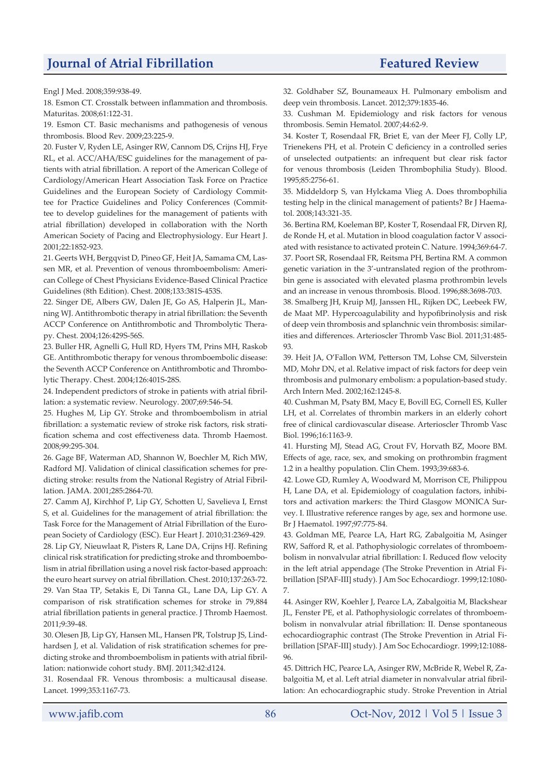Engl J Med. 2008;359:938-49.

18. Esmon CT. Crosstalk between inflammation and thrombosis. Maturitas. 2008;61:122-31.

19. Esmon CT. Basic mechanisms and pathogenesis of venous thrombosis. Blood Rev. 2009;23:225-9.

20. Fuster V, Ryden LE, Asinger RW, Cannom DS, Crijns HJ, Frye RL, et al. ACC/AHA/ESC guidelines for the management of patients with atrial fibrillation. A report of the American College of Cardiology/American Heart Association Task Force on Practice Guidelines and the European Society of Cardiology Committee for Practice Guidelines and Policy Conferences (Committee to develop guidelines for the management of patients with atrial fibrillation) developed in collaboration with the North American Society of Pacing and Electrophysiology. Eur Heart J. 2001;22:1852-923.

21. Geerts WH, Bergqvist D, Pineo GF, Heit JA, Samama CM, Lassen MR, et al. Prevention of venous thromboembolism: American College of Chest Physicians Evidence-Based Clinical Practice Guidelines (8th Edition). Chest. 2008;133:381S-453S.

22. Singer DE, Albers GW, Dalen JE, Go AS, Halperin JL, Manning WJ. Antithrombotic therapy in atrial fibrillation: the Seventh ACCP Conference on Antithrombotic and Thrombolytic Therapy. Chest. 2004;126:429S-56S.

23. Buller HR, Agnelli G, Hull RD, Hyers TM, Prins MH, Raskob GE. Antithrombotic therapy for venous thromboembolic disease: the Seventh ACCP Conference on Antithrombotic and Thrombolytic Therapy. Chest. 2004;126:401S-28S.

24. Independent predictors of stroke in patients with atrial fibrillation: a systematic review. Neurology. 2007;69:546-54.

25. Hughes M, Lip GY. Stroke and thromboembolism in atrial fibrillation: a systematic review of stroke risk factors, risk stratification schema and cost effectiveness data. Thromb Haemost. 2008;99:295-304.

26. Gage BF, Waterman AD, Shannon W, Boechler M, Rich MW, Radford MJ. Validation of clinical classification schemes for predicting stroke: results from the National Registry of Atrial Fibrillation. JAMA. 2001;285:2864-70.

27. Camm AJ, Kirchhof P, Lip GY, Schotten U, Savelieva I, Ernst S, et al. Guidelines for the management of atrial fibrillation: the Task Force for the Management of Atrial Fibrillation of the European Society of Cardiology (ESC). Eur Heart J. 2010;31:2369-429. 28. Lip GY, Nieuwlaat R, Pisters R, Lane DA, Crijns HJ. Refining clinical risk stratification for predicting stroke and thromboembolism in atrial fibrillation using a novel risk factor-based approach: the euro heart survey on atrial fibrillation. Chest. 2010;137:263-72. 29. Van Staa TP, Setakis E, Di Tanna GL, Lane DA, Lip GY. A comparison of risk stratification schemes for stroke in 79,884 atrial fibrillation patients in general practice. J Thromb Haemost. 2011;9:39-48.

30. Olesen JB, Lip GY, Hansen ML, Hansen PR, Tolstrup JS, Lindhardsen J, et al. Validation of risk stratification schemes for predicting stroke and thromboembolism in patients with atrial fibrillation: nationwide cohort study. BMJ. 2011;342:d124.

31. Rosendaal FR. Venous thrombosis: a multicausal disease. Lancet. 1999;353:1167-73.

32. Goldhaber SZ, Bounameaux H. Pulmonary embolism and deep vein thrombosis. Lancet. 2012;379:1835-46.

33. Cushman M. Epidemiology and risk factors for venous thrombosis. Semin Hematol. 2007;44:62-9.

34. Koster T, Rosendaal FR, Briet E, van der Meer FJ, Colly LP, Trienekens PH, et al. Protein C deficiency in a controlled series of unselected outpatients: an infrequent but clear risk factor for venous thrombosis (Leiden Thrombophilia Study). Blood. 1995;85:2756-61.

35. Middeldorp S, van Hylckama Vlieg A. Does thrombophilia testing help in the clinical management of patients? Br J Haematol. 2008;143:321-35.

36. Bertina RM, Koeleman BP, Koster T, Rosendaal FR, Dirven RJ, de Ronde H, et al. Mutation in blood coagulation factor V associated with resistance to activated protein C. Nature. 1994;369:64-7. 37. Poort SR, Rosendaal FR, Reitsma PH, Bertina RM. A common genetic variation in the 3'-untranslated region of the prothrombin gene is associated with elevated plasma prothrombin levels and an increase in venous thrombosis. Blood. 1996;88:3698-703.

38. Smalberg JH, Kruip MJ, Janssen HL, Rijken DC, Leebeek FW, de Maat MP. Hypercoagulability and hypofibrinolysis and risk of deep vein thrombosis and splanchnic vein thrombosis: similarities and differences. Arterioscler Thromb Vasc Biol. 2011;31:485- 93.

39. Heit JA, O'Fallon WM, Petterson TM, Lohse CM, Silverstein MD, Mohr DN, et al. Relative impact of risk factors for deep vein thrombosis and pulmonary embolism: a population-based study. Arch Intern Med. 2002;162:1245-8.

40. Cushman M, Psaty BM, Macy E, Bovill EG, Cornell ES, Kuller LH, et al. Correlates of thrombin markers in an elderly cohort free of clinical cardiovascular disease. Arterioscler Thromb Vasc Biol. 1996;16:1163-9.

41. Hursting MJ, Stead AG, Crout FV, Horvath BZ, Moore BM. Effects of age, race, sex, and smoking on prothrombin fragment 1.2 in a healthy population. Clin Chem. 1993;39:683-6.

42. Lowe GD, Rumley A, Woodward M, Morrison CE, Philippou H, Lane DA, et al. Epidemiology of coagulation factors, inhibitors and activation markers: the Third Glasgow MONICA Survey. I. Illustrative reference ranges by age, sex and hormone use. Br J Haematol. 1997;97:775-84.

43. Goldman ME, Pearce LA, Hart RG, Zabalgoitia M, Asinger RW, Safford R, et al. Pathophysiologic correlates of thromboembolism in nonvalvular atrial fibrillation: I. Reduced flow velocity in the left atrial appendage (The Stroke Prevention in Atrial Fibrillation [SPAF-III] study). J Am Soc Echocardiogr. 1999;12:1080- 7.

44. Asinger RW, Koehler J, Pearce LA, Zabalgoitia M, Blackshear JL, Fenster PE, et al. Pathophysiologic correlates of thromboembolism in nonvalvular atrial fibrillation: II. Dense spontaneous echocardiographic contrast (The Stroke Prevention in Atrial Fibrillation [SPAF-III] study). J Am Soc Echocardiogr. 1999;12:1088- 96.

45. Dittrich HC, Pearce LA, Asinger RW, McBride R, Webel R, Zabalgoitia M, et al. Left atrial diameter in nonvalvular atrial fibrillation: An echocardiographic study. Stroke Prevention in Atrial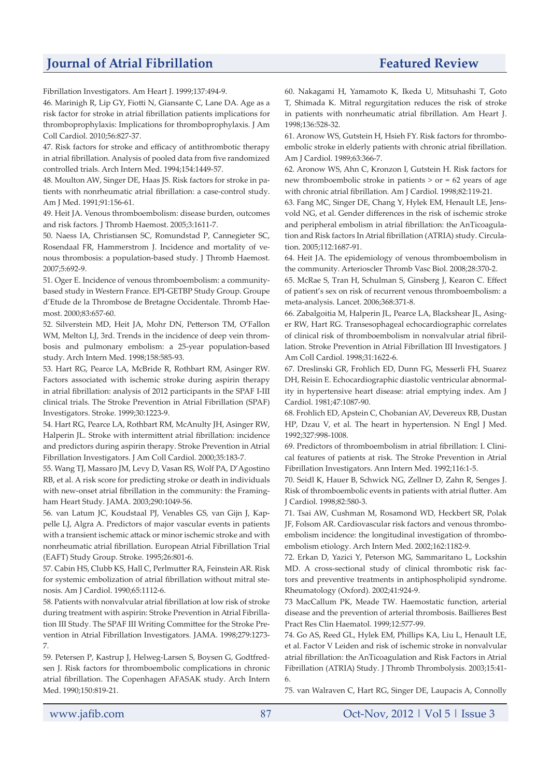Fibrillation Investigators. Am Heart J. 1999;137:494-9.

46. Marinigh R, Lip GY, Fiotti N, Giansante C, Lane DA. Age as a risk factor for stroke in atrial fibrillation patients implications for thromboprophylaxis: Implications for thromboprophylaxis. J Am Coll Cardiol. 2010;56:827-37.

47. Risk factors for stroke and efficacy of antithrombotic therapy in atrial fibrillation. Analysis of pooled data from five randomized controlled trials. Arch Intern Med. 1994;154:1449-57.

48. Moulton AW, Singer DE, Haas JS. Risk factors for stroke in patients with nonrheumatic atrial fibrillation: a case-control study. Am J Med. 1991;91:156-61.

49. Heit JA. Venous thromboembolism: disease burden, outcomes and risk factors. J Thromb Haemost. 2005;3:1611-7.

50. Naess IA, Christiansen SC, Romundstad P, Cannegieter SC, Rosendaal FR, Hammerstrom J. Incidence and mortality of venous thrombosis: a population-based study. J Thromb Haemost. 2007;5:692-9.

51. Oger E. Incidence of venous thromboembolism: a communitybased study in Western France. EPI-GETBP Study Group. Groupe d'Etude de la Thrombose de Bretagne Occidentale. Thromb Haemost. 2000;83:657-60.

52. Silverstein MD, Heit JA, Mohr DN, Petterson TM, O'Fallon WM, Melton LJ, 3rd. Trends in the incidence of deep vein thrombosis and pulmonary embolism: a 25-year population-based study. Arch Intern Med. 1998;158:585-93.

53. Hart RG, Pearce LA, McBride R, Rothbart RM, Asinger RW. Factors associated with ischemic stroke during aspirin therapy in atrial fibrillation: analysis of 2012 participants in the SPAF I-III clinical trials. The Stroke Prevention in Atrial Fibrillation (SPAF) Investigators. Stroke. 1999;30:1223-9.

54. Hart RG, Pearce LA, Rothbart RM, McAnulty JH, Asinger RW, Halperin JL. Stroke with intermittent atrial fibrillation: incidence and predictors during aspirin therapy. Stroke Prevention in Atrial Fibrillation Investigators. J Am Coll Cardiol. 2000;35:183-7.

55. Wang TJ, Massaro JM, Levy D, Vasan RS, Wolf PA, D'Agostino RB, et al. A risk score for predicting stroke or death in individuals with new-onset atrial fibrillation in the community: the Framingham Heart Study. JAMA. 2003;290:1049-56.

56. van Latum JC, Koudstaal PJ, Venables GS, van Gijn J, Kappelle LJ, Algra A. Predictors of major vascular events in patients with a transient ischemic attack or minor ischemic stroke and with nonrheumatic atrial fibrillation. European Atrial Fibrillation Trial (EAFT) Study Group. Stroke. 1995;26:801-6.

57. Cabin HS, Clubb KS, Hall C, Perlmutter RA, Feinstein AR. Risk for systemic embolization of atrial fibrillation without mitral stenosis. Am J Cardiol. 1990;65:1112-6.

58. Patients with nonvalvular atrial fibrillation at low risk of stroke during treatment with aspirin: Stroke Prevention in Atrial Fibrillation III Study. The SPAF III Writing Committee for the Stroke Prevention in Atrial Fibrillation Investigators. JAMA. 1998;279:1273- 7.

59. Petersen P, Kastrup J, Helweg-Larsen S, Boysen G, Godtfredsen J. Risk factors for thromboembolic complications in chronic atrial fibrillation. The Copenhagen AFASAK study. Arch Intern Med. 1990;150:819-21.

60. Nakagami H, Yamamoto K, Ikeda U, Mitsuhashi T, Goto T, Shimada K. Mitral regurgitation reduces the risk of stroke in patients with nonrheumatic atrial fibrillation. Am Heart J. 1998;136:528-32.

61. Aronow WS, Gutstein H, Hsieh FY. Risk factors for thromboembolic stroke in elderly patients with chronic atrial fibrillation. Am J Cardiol. 1989;63:366-7.

62. Aronow WS, Ahn C, Kronzon I, Gutstein H. Risk factors for new thromboembolic stroke in patients > or = 62 years of age with chronic atrial fibrillation. Am J Cardiol. 1998;82:119-21.

63. Fang MC, Singer DE, Chang Y, Hylek EM, Henault LE, Jensvold NG, et al. Gender differences in the risk of ischemic stroke and peripheral embolism in atrial fibrillation: the AnTicoagulation and Risk factors In Atrial fibrillation (ATRIA) study. Circulation. 2005;112:1687-91.

64. Heit JA. The epidemiology of venous thromboembolism in the community. Arterioscler Thromb Vasc Biol. 2008;28:370-2.

65. McRae S, Tran H, Schulman S, Ginsberg J, Kearon C. Effect of patient's sex on risk of recurrent venous thromboembolism: a meta-analysis. Lancet. 2006;368:371-8.

66. Zabalgoitia M, Halperin JL, Pearce LA, Blackshear JL, Asinger RW, Hart RG. Transesophageal echocardiographic correlates of clinical risk of thromboembolism in nonvalvular atrial fibrillation. Stroke Prevention in Atrial Fibrillation III Investigators. J Am Coll Cardiol. 1998;31:1622-6.

67. Dreslinski GR, Frohlich ED, Dunn FG, Messerli FH, Suarez DH, Reisin E. Echocardiographic diastolic ventricular abnormality in hypertensive heart disease: atrial emptying index. Am J Cardiol. 1981;47:1087-90.

68. Frohlich ED, Apstein C, Chobanian AV, Devereux RB, Dustan HP, Dzau V, et al. The heart in hypertension. N Engl J Med. 1992;327:998-1008.

69. Predictors of thromboembolism in atrial fibrillation: I. Clinical features of patients at risk. The Stroke Prevention in Atrial Fibrillation Investigators. Ann Intern Med. 1992;116:1-5.

70. Seidl K, Hauer B, Schwick NG, Zellner D, Zahn R, Senges J. Risk of thromboembolic events in patients with atrial flutter. Am J Cardiol. 1998;82:580-3.

71. Tsai AW, Cushman M, Rosamond WD, Heckbert SR, Polak JF, Folsom AR. Cardiovascular risk factors and venous thromboembolism incidence: the longitudinal investigation of thromboembolism etiology. Arch Intern Med. 2002;162:1182-9.

72. Erkan D, Yazici Y, Peterson MG, Sammaritano L, Lockshin MD. A cross-sectional study of clinical thrombotic risk factors and preventive treatments in antiphospholipid syndrome. Rheumatology (Oxford). 2002;41:924-9.

73 MacCallum PK, Meade TW. Haemostatic function, arterial disease and the prevention of arterial thrombosis. Baillieres Best Pract Res Clin Haematol. 1999;12:577-99.

74. Go AS, Reed GL, Hylek EM, Phillips KA, Liu L, Henault LE, et al. Factor V Leiden and risk of ischemic stroke in nonvalvular atrial fibrillation: the AnTicoagulation and Risk Factors in Atrial Fibrillation (ATRIA) Study. J Thromb Thrombolysis. 2003;15:41- 6.

75. van Walraven C, Hart RG, Singer DE, Laupacis A, Connolly